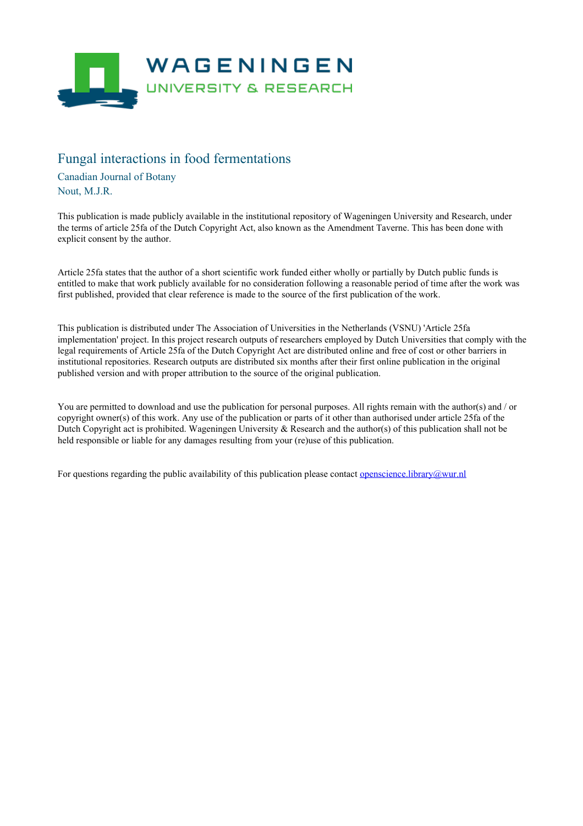

## Fungal interactions in food fermentations

Canadian Journal of Botany Nout, M.J.R.

This publication is made publicly available in the institutional repository of Wageningen University and Research, under the terms of article 25fa of the Dutch Copyright Act, also known as the Amendment Taverne. This has been done with explicit consent by the author.

Article 25fa states that the author of a short scientific work funded either wholly or partially by Dutch public funds is entitled to make that work publicly available for no consideration following a reasonable period of time after the work was first published, provided that clear reference is made to the source of the first publication of the work.

This publication is distributed under The Association of Universities in the Netherlands (VSNU) 'Article 25fa implementation' project. In this project research outputs of researchers employed by Dutch Universities that comply with the legal requirements of Article 25fa of the Dutch Copyright Act are distributed online and free of cost or other barriers in institutional repositories. Research outputs are distributed six months after their first online publication in the original published version and with proper attribution to the source of the original publication.

You are permitted to download and use the publication for personal purposes. All rights remain with the author(s) and / or copyright owner(s) of this work. Any use of the publication or parts of it other than authorised under article 25fa of the Dutch Copyright act is prohibited. Wageningen University & Research and the author(s) of this publication shall not be held responsible or liable for any damages resulting from your (re)use of this publication.

For questions regarding the public availability of this publication please contact [openscience.library@wur.nl](mailto:openscience.library@wur.nl)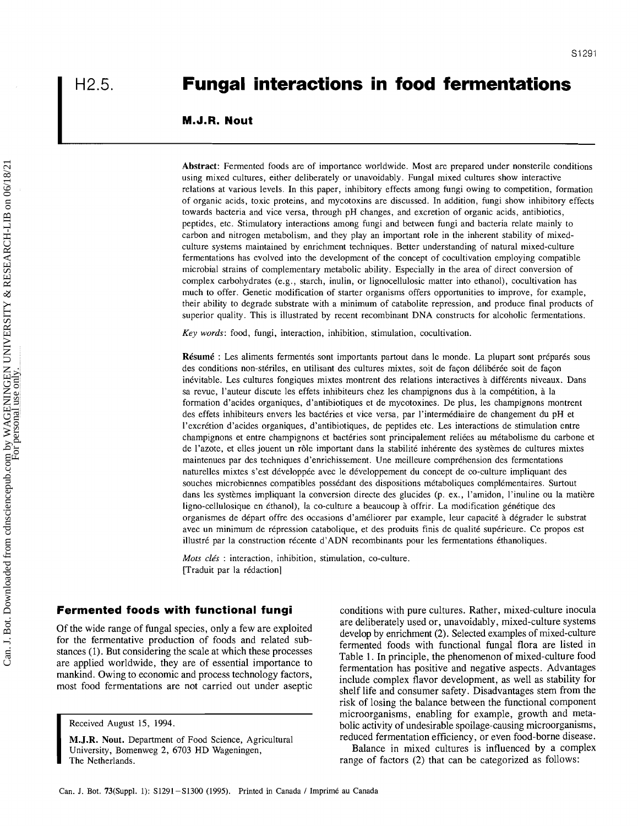# H<sub>2.5</sub>. **Fungal interactions in food fermentations**

#### **M.J.R. Nout**

**Abstract:** Fermented foods are of importance worldwide. Most are prepared under nonsterile conditions using mixed cultures, either deliberately or unavoidably. Fungal mixed cultures show interactive relations at various levels. In this paper, inhibitory effects among fungi owing to competition, formation of organic acids, toxic proteins, and mycotoxins are discussed. In addition, fungi show inhibitory effects towards bacteria and vice versa, through pH changes, and excretion of organic acids, antibiotics, peptides, etc. Stimulatory interactions among fungi and between fungi and bacteria relate mainly to carbon and nitrogen metabolism, and they play an important role in the inherent stability of mixedculture systems maintained by enrichment techniques. Better understanding of natural mixed-culture fermentations has evolved into the development of the concept of cocultivation employing compatible microbial strains of complementary metabolic ability. Especially in the area of direct conversion of complex carbohydrates (e.g., starch, inulin, or lignocellulosic matter into ethanol), cocultivation has much to offer. Genetic modification of starter organisms offers opportunities to improve, for example, their ability to degrade substrate with a minimum of catabolite repression, and produce final products of superior quality. This is illustrated by recent recombinant DNA constructs for alcoholic fermentations.

Key **words:** food, fungi, interaction, inhibition, stimulation, cocultivation.

**Résumé :** Les aliments fermentés sont importants partout dans le monde. La plupart sont préparés sous des conditions non-stériles, en utilisant des cultures mixtes, soit de façon délibérée soit de façon inévitable. Les cultures fongiques mixtes montrent des relations interactives à différents niveaux. Dans sa revue, l'auteur discute les effets inhibiteurs chez les champignons dus à la compétition, à la formation d'acides organiques, d'antibiotiques et de mycotoxines. De plus, les champignons montrent des effets inhibiteurs envers les bactéries et vice versa, par l'intermédiaire de changement du pH et l'excrétion d'acides organiques, d'antibiotiques, de peptides etc. Les interactions de stimulation entre champignons et entre champignons et bactéries sont principalement reliées au métabolisme du carbone et de l'azote, et elles jouent un rôle important dans la stabilité inhérente des systèmes de cultures mixtes maintenues par des techniques d'enrichissement. Une meilleure compréhension des fermentations naturelles mixtes s'est développée avec le développement du concept de co-culture impliquant des souches microbiennes compatibles possédant des dispositions métaboliques complémentaires. Surtout dans les systèmes impliquant la conversion directe des glucides (p. ex., l'amidon, l'inuline ou la matière ligno-cellulosique en éthanol), la co-culture a beaucoup à offrir. La modification génétique des organismes de départ offre des occasions d'améliorer par example, leur capacité à dégrader le substrat avec un minimum de répression catabolique, et des produits finis de qualité supérieure. Ce propos est illustré par la construction récente d'ADN recombinants pour les fermentations éthanoliques.

Mots clés : interaction, inhibition, stimulation, co-culture. [Traduit par la rédaction]

Of the wide range of fungal species, only a few are exploited for the fermentative production of foods and related substances (1). But considering the scale at which these processes are applied worldwide, they are of essential importance to mankind. Owing to economic and process technology factors, most food fermentations are not carried out under aseptic

**Fermented foods with functional fungi** conditions with pure cultures. Rather, mixed-culture inocula are deliberately used or, unavoidably, mixed-culture systems develop by enrichment *(2).* Selected examples of mixed-culture fermented foods with functional fungal flora are listed in Table 1. In principle, the phenomenon of mixed-culture food fermentation has positive and negative aspects. Advantages include complex flavor development, as well as stability for shelf life and consumer safety. Disadvantages stem from the risk of losing the balance between the functional component microorganisms, enabling for example, growth and meta-Received August **15, 1994.** bolic activity of undesirable spoilage-causing microorganisms,

University, Bomenweg 2, 6703 HD Wageningen, Balance in mixed cultures is influenced by a complex<br>The Netherlands. The Netherlands are set of factors (2) that can be categorized as follows: range of factors (2) that can be categorized as follows:

**M.J.R. Nout.** Department of Food Science, Agricultural reduced fermentation efficiency, or even food-borne disease.<br>University, Bomenweg 2, 6703 HD Wageningen, Balance in mixed cultures is influenced by a complex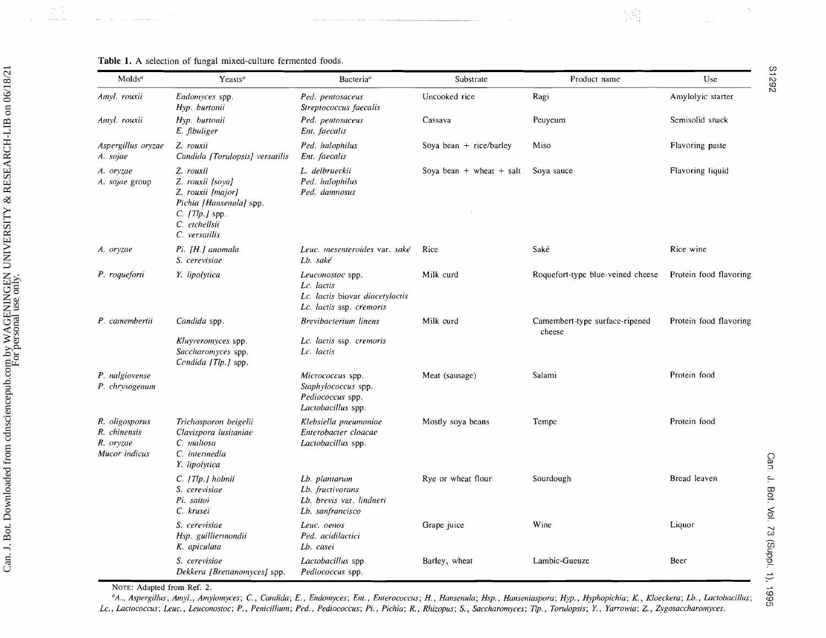| Molds"                                                       | Yeasts <sup>a</sup>                                                                                                                 | Bacteria <sup>a</sup>                                                                         | Substrate                    | Product name                             | Use                    | 2621                            |
|--------------------------------------------------------------|-------------------------------------------------------------------------------------------------------------------------------------|-----------------------------------------------------------------------------------------------|------------------------------|------------------------------------------|------------------------|---------------------------------|
| Amyl. rouxii                                                 | Endomyces spp.<br>Hyp. burtonii                                                                                                     | Ped. pentosaceus<br>Streptococcus faecalis                                                    | Uncooked rice                | Ragi                                     | Amylolyic starter      |                                 |
| Amyl. rouxii                                                 | Hyp. burtonii<br>E. fibuliger                                                                                                       | Ped. pentosaceus<br>Ent. faecalis                                                             | Cassava                      | Peuyeum                                  | Semisolid snack        |                                 |
| Aspergillus oryzae<br>A. sojae                               | Z. rouxii<br>Candida [Torulopsis] versatilis                                                                                        | Ped. halophilus<br>Ent. faecalis                                                              | Soya bean + rice/barley      | Miso                                     | Flavoring paste        |                                 |
| A. oryzae<br>A. sojae group                                  | Z. rouxii<br>Z. rouxii [soya]<br>Z. rouxii [major]<br>Pichia [Hansenula] spp.<br>$C.$ [Tlp.] spp.<br>C. etchellsii<br>C. versatilis | L. delbrueckii<br>Ped. halophilus<br>Ped. damnosus                                            | Soya bean $+$ wheat $+$ salt | Soya sauce                               | Flavoring liquid       |                                 |
| A. oryzae                                                    | Pi. [H.] anomala<br>S. cerevisiae                                                                                                   | Leuc. mesenteroides var. saké<br>Lb. saké                                                     | Rice                         | Saké                                     | Rice wine              |                                 |
| P. roqueforti                                                | Y. lipolytica                                                                                                                       | Leuconostoc spp.<br>Lc. lactis<br>Lc. lactis biovar diacetylactis<br>Lc. lactis ssp. cremoris | Milk curd                    | Roquefort-type blue-veined cheese        | Protein food flavoring |                                 |
| P. camembertii                                               | Candida spp.                                                                                                                        | Brevibacterium linens                                                                         | Milk curd                    | Camembert-type surface-ripened<br>cheese | Protein food flavoring |                                 |
|                                                              | Kluyveromyces spp.<br>Saccharomyces spp.<br>Condida [Tlp.] spp.                                                                     | Lc. lactis ssp. cremoris<br>Lc. lactis                                                        |                              |                                          |                        |                                 |
| P. nalgiovense<br>P. chrysogenum                             |                                                                                                                                     | Micrococcus spp.<br>Staphylococcus spp.<br>Pediococcus spp.<br>Lactobacillus spp.             | Meat (sausage)               | Salami                                   | Protein food           |                                 |
| R. oligosporus<br>R. chinensis<br>R. oryzae<br>Mucor indicus | Trichosporon beigelii<br>Clavispora lusitaniae<br>C. maltosa<br>C. intermedia<br>Y. lipolytica                                      | Klebsiella pneumoniae<br>Enterobacter cloacae<br>Lactobacillus spp.                           | Mostly soya beans            | Tempe                                    | Protein food           |                                 |
|                                                              | C. [Tlp.] holmii<br>S. cerevisiae<br>Pi. saitoi<br>C. krusei                                                                        | Lb. plantarum<br>Lb. fructivorans<br>Lb. brevis var. lindneri<br>Lb. sanfrancisco             | Rye or wheat flour           | Sourdough                                | Bread leaven           | Can. J. Bot. Vol. 73 (Suppl. 1) |
|                                                              | S. cerevisiae<br>Hsp. guilliermondii<br>K. apiculata                                                                                | Leuc. oenos<br>Ped, acidilactici<br>Lb. casei                                                 | Grape juice                  | Wine                                     | Liquor                 |                                 |
|                                                              | S. cerevisiae<br>Dekkera [Brettanomyces] spp.                                                                                       | Lactobacillus spp.<br>Pediococcus spp.                                                        | Barley, wheat                | Lambic-Gueuze                            | Beer                   |                                 |

#### **Table 1.** A selection of fungal mixed-culture fermented foods.

NOTE: Adapted from Ref. 2.

<sup>a</sup>A., Aspergillus; Amyl., Amylomyces; C., Candida; E., Endomyces; Ent., Enterococcus; H., Hansenula; Hsp., Hanseniaspora; Hyp., Hyphopichia; K., Kloeckera; Lb., Lactobacillus; Lc., Lactococcus; Leuc., Leuconostoc; P., Penicillium; Ped., Pediococcus; Pi., Pichia; R., Rhizopus; S., Saccharomyces; Tlp., Torulopsis; Y., Yarrowia; Z., Zygosaccharomyces.

 $\frac{1}{2}$ 

 $\frac{1}{2}$ 

**不常**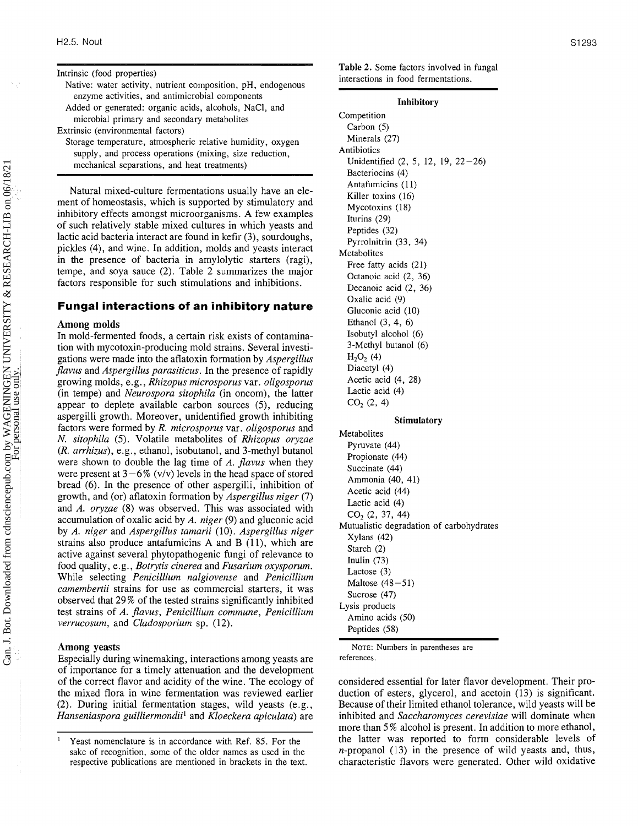| Intrinsic (food properties)                                  |  |  |  |  |
|--------------------------------------------------------------|--|--|--|--|
| Native: water activity, nutrient composition, pH, endogenous |  |  |  |  |
| enzyme activities, and antimicrobial components              |  |  |  |  |
| Added or generated: organic acids, alcohols, NaCl, and       |  |  |  |  |
| microbial primary and secondary metabolites                  |  |  |  |  |
| Extrinsic (environmental factors)                            |  |  |  |  |
| Storage temperature, atmospheric relative humidity, oxygen   |  |  |  |  |
| supply, and process operations (mixing, size reduction,      |  |  |  |  |

mechanical separations, and heat treatments)

Natural mixed-culture fermentations usually have an element of homeostasis, which is supported by stimulatory and inhibitory effects amongst microorganisms. **A** few examples of such relatively stable mixed cultures in which yeasts and lactic acid bacteria interact are found in kefir (3), sourdoughs, pickles (4), and wine. In addition, molds and yeasts interact in the presence of bacteria in amylolytic starters (ragi), tempe, and soya sauce (2). Table 2 summarizes the major factors responsible for such stimulations and inhibitions.

#### **Fungal interactions of an inhibitory nature**

#### **Among molds**

In mold-fermented foods. a certain risk exists of contamination with mycotoxin-producing mold strains. Several investigations were made into the aflatoxin formation by *Aspergillus jlavus* and *Aspergillus parasiticus.* In the presence of rapidly growing molds, e.g., *Rhizopus microsporus* var. *oligosporus*  (in tempe) and *Neurospora sitophila* (in oncom), the latter appear to deplete available carbon sources (5), reducing aspergilli growth. Moreover, unidentified growth inhibiting factors were formed by *R. microsporus* var. *oligosporus* and *N. sitophila* (5). Volatile metabolites of *Rhizopus oryzae (R. arrhizus),* e.g., ethanol, isobutanol, and 3-methyl butanol were shown to double the lag time of *A. jlavus* when they were present at  $3-6\%$  (v/v) levels in the head space of stored bread (6). In the presence of other aspergilli, inhibition of growth, and (or) aflatoxin formation by *Aspergillus niger* (7) and *A. oryzae* (8) was observed. This was associated with accumulation of oxalic acid by *A. niger* (9) and gluconic acid by *A. niger* and *Aspergillus tamarii* (10). *Aspergillus niger*  strains also produce antafumicins A and B (11), which are active against several phytopathogenic fungi of relevance to food quality, e.g., *Botrytis cinerea* and *Fusarium oxysporum.*  While selecting *Penicillium nalgiovense* and *Penicillium camembertii* strains for use as commercial starters, it was observed that 29 % of the tested strains significantly inhibited test strains of *A. jlavus, Penicillium commune, Penicillium verrucosum*, and *Cladosporium* sp. (12).

#### **Among yeasts**

Especially during winemaking, interactions among yeasts are of importance for a timely attenuation and the development of the correct flavor and acidity of the wine. The ecology of the mixed flora in wine fermentation was reviewed earlier (2). During initial fermentation stages, wild yeasts (e.g., *Hanseniaspora guilliermondiil* and *Kloeckera apiculata)* are **Table 2.** Some factors involved in fungal interactions in food fermentations.

#### **Inhibitory**

Competition Carbon (5) Minerals (27) Antibiotics Unidentified  $(2, 5, 12, 19, 22-26)$ Bacteriocins (4) Antafumicins (1 1) Killer toxins (16) Mycotoxins (18) Iturins (29) Peptides (32) Pyrrolnitrin (33, 34) Metabolites Free fatty acids (21) Octanoic acid (2, 36) Decanoic acid (2, 36) Oxalic acid (9) Gluconic acid (10) Ethanol (3, 4, 6) Isobutyl alcohol (6) 3-Methyl butanol (6)  $H<sub>2</sub>O<sub>2</sub>$  (4) Diacetyl (4) Acetic acid (4, 28) Lactic acid (4)  $CO<sub>2</sub>$  (2, 4) **Stirnulatory**  Metabolites Pyruvate (44) Propionate (44) Succinate (44) Ammonia (40, 41) Acetic acid (44) Lactic acid (4)

 $CO<sub>2</sub>$  (2, 37, 44) Mutualistic degradation of carbohydrates Xylans (42) Starch (2) Inulin (73) Lactose (3) Maltose  $(48-51)$ Sucrose (47) Lysis products Amino acids (50) Peptides (58)

NOTE: Numbers in parentheses are references.

considered essential for later flavor development. Their production of esters, glycerol, and acetoin (13) is significant. Because of their limited ethanol tolerance, wild yeasts will be inhibited and *Saccharomyces cerevisiae* will dominate when more than 5% alcohol is present. In addition to more ethanol, the latter was reported to form considerable levels of n-propanol (13) in the presence of wild yeasts and, thus, characteristic flavors were generated. Other wild oxidative

Yeast nomenclature is in accordance with Ref. 85. For the sake of recognition, some of the older names as used in the respective publications are mentioned in brackets in the text.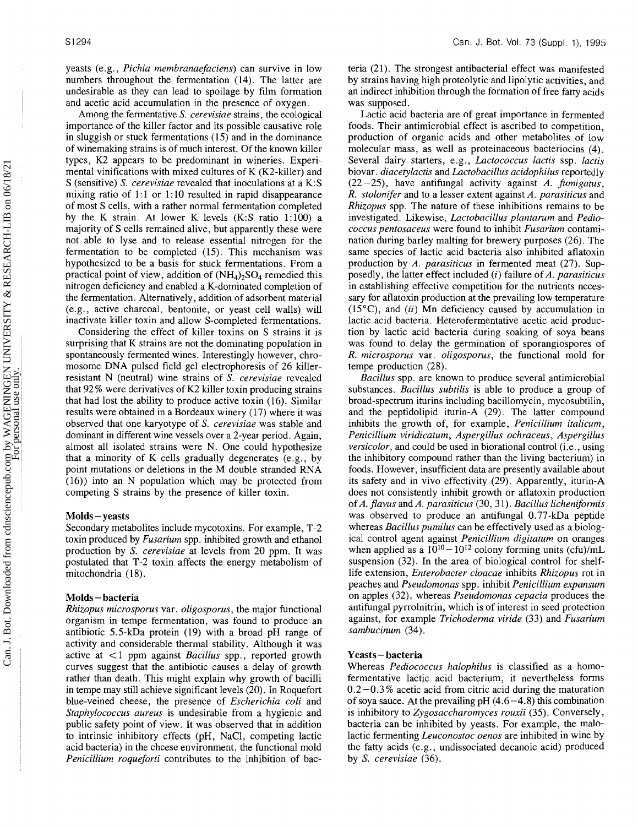yeasts (e.g., *Pichia membranaefaciens)* can survive in low numbers throughout the fermentation (14). The latter are undesirable as they can lead to spoilage by film formation and acetic acid accumulation in the presence of oxygen.

Among the fermentative S. *cerevisiae* strains, the ecological importance of the killer factor and its possible causative role in sluggish or stuck fermentations (15) and in the dominance of winemaking strains is of much interest. Of the known killer types, K2 appears to be predominant in wineries. Experimental vinifications with mixed cultures of K (K2-killer) and S (sensitive) *S. cerevisiae* revealed that inoculations at a K:S mixing ratio of  $1:1$  or  $1:10$  resulted in rapid disappearance of most S cells, with a rather normal fermentation completed by the K strain. At lower K levels (K:S ratio 1:100) a majority of S cells remained alive, but apparently these were not able to lyse and to release essential nitrogen for the fermentation to be completed (15). This mechanism was hypothesized to be a basis for stuck fermentations. From a practical point of view, addition of  $(NH_4)_2SO_4$  remedied this nitrogen deficiency and enabled a K-dominated completion of the fermentation. Alternatively, addition of adsorbent material (e.g., active charcoal, bentonite, or yeast cell walls) will inactivate killer toxin and allow S-completed fermentations.

Considering the effect of killer toxins on S strains it is surprising that K strains are not the dominating population in spontaneously fermented wines. Interestingly however, chromosome DNA pulsed field gel electrophoresis of 26 killerresistant N (neutral) wine strains of S. *cerevisiae* revealed that 92 % were derivatives of K2 killer toxin producing strains that had lost the ability to produce active toxin (16). Similar results were obtained in a Bordeaux winery (17) where it was observed that one karyotype of S. *cerevisiae* was stable and dominant in different wine vessels over a 2-year period. Again, almost all isolated strains were N. One could hypothesize that a minority of K cells gradually degenerates (e.g., by point mutations or deletions in the M double stranded RNA (16)) into an N population which may be protected from competing S strains by the presence of killer toxin.

#### Molds - **yeasts**

Secondary metabolites include mycotoxins. For example, T-2 toxin produced by *Fusarium* spp. inhibited growth and ethanol production by *S. cerevisiae* at levels from 20 ppm. It was postulated that T-2 toxin affects the energy metabolism of mitochondria (18).

#### Molds - **bacteria**

*Rhizopus microsporus* var. *oligosporus,* the major functional organism in tempe fermentation, was found to produce an antibiotic 5.5-kDa protein (19) with a broad pH range of activity and considerable thermal stability. Although it was active at < 1 ppm against *Bacillus* spp., reported growth curves suggest that the antibiotic causes a delay of growth rather than death. This might explain why growth of bacilli in tempe may still achieve significant levels (20). In Roquefort blue-veined cheese, the presence of *Escherichia coli* and *Staphylococcus aureus* is undesirable from a hygienic and public safety point of view. It was observed that in addition to intrinsic inhibitory effects (pH, NaC1, competing lactic acid bacteria) in the cheese environment, the functional mold *Penicillium roqueforti* contributes to the inhibition of bac-

teria (21). The strongest antibacterial effect was manifested by strains having high proteolytic and lipolytic activities, and an indirect inhibition through the formation of free fatty acids was supposed.

Lactic acid bacteria are of great importance in fermented foods. Their antimicrobial effect is ascribed to competition, production of organic acids and other metabolites of low molecular mass, as well as proteinaceous bacteriocins (4). Several dairy starters, e.g., *Lactococcus lactis* ssp. *lactis*  biovar. *diacetylactis* and *Lactobacillus acidophilus* reportedly (22-25), have antifungal activity against *A. fimigatus, R. stolonifer* and to a lesser extent against *A. parasiticus* and *Rhizopus* spp. The nature of these inhibitions remains to be investigated. Likewise, *Lactobacillus plantarum* and *Pediococcus pentosaceus* were found to inhibit *Fusarium* contamination during barley malting for brewery purposes (26). The same species of lactic acid bacteria also inhibited aflatoxin production by *A. parasiticus* in fermented meat (27). Supposedly, the latter effect included *(i)* failure of *A. parasiticus*  in establishing effective competition for the nutrients necessary for aflatoxin production at the prevailing low temperature (15"C), and *(ii)* Mn deficiency caused by accumulation in lactic acid bacteria. Heterofermentative acetic acid production by lactic acid bacteria during soaking of soya beans was found to delay the germination of sporangiospores of *R. microsporus* var. *oligosporus,* the functional mold for tempe production (28).

*Bacillus* spp. are known to produce several antimicrobial substances. *Bacillus subtilis* is able to produce a group of broad-spectrum iturins including bacillomycin, mycosubtilin, and the peptidolipid iturin-A (29). The latter compound inhibits the growth of, for example, *Penicillium italicum, Penicillium viridicatum, Aspergillus ochraceus, Aspergillus versicolor,* and could be used in biorational control (i.e., using the inhibitory compound rather than the living bacterium) in foods. However, insufficient data are presently available about its safety and in vivo effectivity (29). Apparently, iturin-A does not consistently inhibit growth or aflatoxin production of *A. Jlavus* and *A. parasiticus* (30, 3 1). *Bacillus licheniformis*  was observed to produce an antifungal 0.77-kDa peptide whereas *Bacillus pumilus* can be effectively used as a biological control agent against *Penicillium digitatum* on oranges when applied as a  $10^{10} - 10^{12}$  colony forming units (cfu)/mL suspension (32). In the area of biological control for shelflife extension, *Enterobacter cloacae* inhibits *Rhizopus* rot in peaches and *Pseudomonas* spp. inhibit *Penicillium expansum*  on apples (32), whereas *Pseudomonas cepacia* produces the antifungal pyrrolnitrin, which is of interest in seed protection against, for example *Trichoderma viride* (33) and *Fusarium sambucinum* (34).

#### **Yeasts** - **bacteria**

Whereas *Pediococcus halophilus* is classified as a hornofermentative lactic acid bacterium, it nevertheless forms  $0.2 - 0.3\%$  acetic acid from citric acid during the maturation of soya sauce. At the prevailing pH  $(4.6-4.8)$  this combination is inhibitory to *Zygosaccharomyces rouxii* (35). Conversely, bacteria can be inhibited by yeasts. For example, the malolactic fermenting *Leuconostoc oenos* are inhibited in wine by the fatty acids (e.g., undissociated decanoic acid) produced by *S. cerevisiae* (36).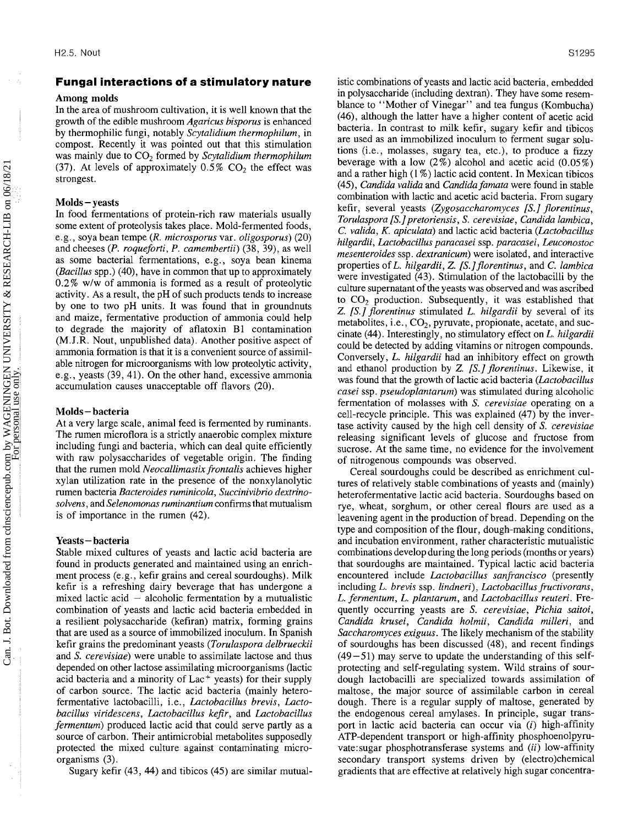#### **Among molds**

In the area of mushroom cultivation, it is well known that the growth of the edible mushroom Agaricus bisporus is enhanced by thermophilic fungi, notably Scytalidium thermophilum, in compost. Recently it was pointed out that this stimulation was mainly due to  $CO<sub>2</sub>$  formed by Scytalidium thermophilum (37). At levels of approximately  $0.5\%$  CO<sub>2</sub> the effect was strongest.

#### **Molds** - **yeasts**

In food fermentations of protein-rich raw materials usually some extent of proteolysis takes place. Mold-fermented foods, e.g., soya bean tempe (R. microsporus var. oligosporus) (20) and cheeses (P. roqueforti, P. camembertii) (38, 39), as well as some bacterial fermentations, e.g., soya bean kinema (Bacillus spp.) (40), have in common that up to approximately 0.2% w/w of ammonia is formed as a result of proteolytic activity. As a result, the pH of such products tends to increase by one to two pH units. It was found that in groundnuts and maize, fermentative production of ammonia could help to degrade the majority of aflatoxin B1 contamination (M. J.R. Nout, unpublished data). Another positive aspect of ammonia formation is that it is a convenient source of assimilable nitrogen for microorganisms with low proteolytic activity, e.g., yeasts (39, 41). On the other hand, excessive ammonia accumulation causes unacceptable off flavors (20).

#### **Molds- bacteria**

At a very large scale, animal feed is fermented by ruminants. The rumen microflora is a strictly anaerobic complex mixture including fungi and bacteria, which can deal quite efficiently with raw polysaccharides of vegetable origin. The finding that the rumen mold Neocallimastix frontalis achieves higher xylan utilization rate in the presence of the nonxylanolytic rumen bacteria Bacteroides ruminicola, Succinivibrio dextrinosolvens, and Selenomonas ruminantium confirms that mutualism is of importance in the rumen (42).

#### **Yeasts- bacteria**

Stable mixed cultures of yeasts and lactic acid bacteria are found in products generated and maintained using an enrichment process (e.g., kefir grains and cereal sourdoughs). Milk kefir is a refreshing dairy beverage that has undergone a mixed lactic acid  $-$  alcoholic fermentation by a mutualistic combination of yeasts and lactic acid bacteria embedded in a resilient polysaccharide (kefiran) matrix, forming grains that are used as a source of immobilized inoculum. In Spanish kefir grains the predominant yeasts (Torulaspora delbrueckii and *S.* cerevisiae) were unable to assimilate lactose and thus depended on other lactose assimilating microorganisms (lactic acid bacteria and a minority of Lac<sup>+</sup> yeasts) for their supply of carbon source. The lactic acid bacteria (mainly heterofermentative lactobacilli, i.e., Lactobacillus brevis, Lactobacillus viridescens, Lactobacillus kefir, and Lactobacillus fermentum) produced lactic acid that could serve partly as a source of carbon. Their antimicrobial metabolites supposedly protected the mixed culture against contaminating microorganisms (3).

Sugary kefir (43, 44) and tibicos (45) are similar mutual-

istic combinations of yeasts and lactic acid bacteria, embedded in polysaccharide (including dextran). They have some resemblance to "Mother of Vinegar" and tea fungus (Kombucha) (46), although the latter have a higher content of acetic acid bacteria. In contrast to milk kefir, sugary kefir and tibicos are used as an immobilized inoculum to ferment sugar solutions (i.e., molasses, sugary tea, etc.), to produce a fizzy beverage with a low  $(2\%)$  alcohol and acetic acid  $(0.05\%)$ and a rather high  $(1\%)$  lactic acid content. In Mexican tibicos (45), Candida valida and Candida famata were found in stable combination with lactic and acetic acid bacteria. From sugary kefir, several yeasts (Zygosaccharomyces [S.] florentinus, Torulaspora [S.] pretoriensis, S. cerevisiae, Candida lambica, C. valida, K. apiculata) and lactic acid bacteria (Lactobacillus hilgardii, Lactobacillus paracasei ssp. paracasei, Leuconostoc mesenteroides ssp. dextranicum) were isolated, and interactive properties of L. hilgardii, Z. [S.] florentinus, and C. lambica were investigated (43). Stimulation of the lactobacilli by the culture supernatant of the yeasts was observed and was asciibed to  $CO<sub>2</sub>$  production. Subsequently, it was established that Z. [S.] florentinus stimulated L. hilgardii by several of its metabolites, i.e.,  $CO_2$ , pyruvate, propionate, acetate, and succinate (44). Interestingly, no stimulatory effect on L. hilgardii could be detected by adding vitamins or nitrogen compounds. Conversely, L. hilgardii had an inhibitory effect on growth and ethanol production by  $Z$ . [S.] florentinus. Likewise, it was found that the growth of lactic acid bacteria (Lactobacillus casei ssp. pseudoplantarum) was stimulated during alcoholic fermentation of molasses with S. cerevisiae operating on a cell-recycle principle. This was explained (47) by the invertase activity caused by the high cell density of S. cerevisiae releasing significant levels of glucose and fructose from sucrose. At the same time, no evidence for the involvement of nitrogenous compounds was observed.

Cereal sourdoughs could be described as enrichment cultures of relatively stable combinations of yeasts and (mainly) heterofermentative lactic acid bacteria. Sourdoughs based on rye, wheat, sorghum, or other cereal flours are used as a leavening agent in the production of bread. Depending on the type and composition of the flour, dough-making conditions, and incubation environment, rather characteristic mutualistic combinations develop during the long periods (months or years) that sourdoughs are maintained. Typical lactic acid bacteria encountered include Lactobacillus sanfrancisco (presently including L. brevis ssp. lindneri), Lactobacillus fructivorans, L. fermentum, L. plantarum, and Lactobacillus reuteri. Frequently occurring yeasts are S. cerevisiae, Pichia saitoi, Candida krusei, Candida holmii, Candida milleri, and Saccharomyces exiguus. The likely mechanism of the stability of sourdoughs has been discussed (48), and recent findings  $(49-51)$  may serve to update the understanding of this selfprotecting and self-regulating system. Wild strains of sourdough lactobacilli are specialized towards assimilation of maltose, the major source of assimilable carbon in cereal dough. There is a regular supply of maltose, generated by the endogenous cereal amylases. In principle, sugar transport in lactic acid bacteria can occur via (i) high-affinity ATP-dependent transport or high-affinity phosphoenolpyruvate: sugar phosphotransferase systems and  $(ii)$  low-affinity secondary transport systems driven by (e1ectro)chemical gradients that are effective at relatively high sugar concentra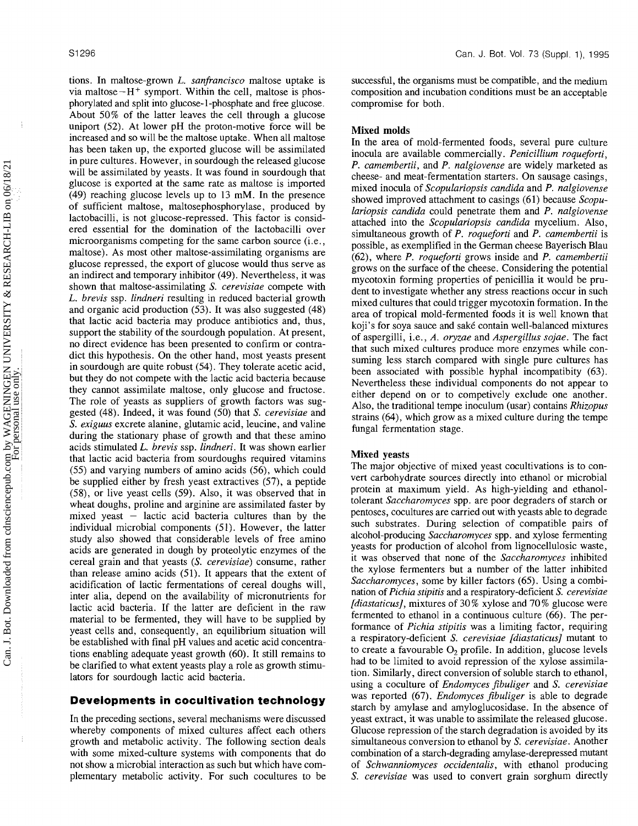tions. In maltose-grown L. *sanfrancisco* maltose uptake is via maltose $-H^+$  symport. Within the cell, maltose is phosphorylated and split into glucose-1-phosphate and free glucose. About 50% of the latter leaves the cell through a glucose uniport (52). At lower pH the proton-motive force will be increased and so will be the maltose uptake. When all maltose has been taken up, the exported glucose will be assimilated in pure cultures. However, in sourdough the released glucose will be assimilated by yeasts. It was found in sourdough that glucose is exported at the same rate as maltose is imported (49) reaching glucose levels up to 13 mM. In the presence of sufficient maltose, maltosephosphorylase, produced by lactobacilli, is not glucose-repressed. This factor is considered essential for the domination of the lactobacilli over microorganisms competing for the same carbon source (i.e., maltose). As most other maltose-assimilating organisms are glucose repressed, the export of glucose would thus serve as an indirect and temporary inhibitor (49). Nevertheless, it was shown that maltose-assimilating *S. cerevisiae* compete with *L. brevis* ssp. *lindneri* resulting in reduced bacterial growth and organic acid production (53). It was also suggested (48) that lactic acid bacteria may produce antibiotics and, thus, support the stability of the sourdough population. At present, no direct evidence has been presented to confirm or contradict this hypothesis. On the other hand, most yeasts present in sourdough are quite robust (54). They tolerate acetic acid, but they do not compete with the lactic acid bacteria because they cannot assimilate maltose, only glucose and fructose. The role of yeasts as suppliers of growth factors was suggested (48). Indeed, it was found (50) that *S. cerevisiae* and *S. exiguus* excrete alanine, glutamic acid, leucine, and valine during the stationary phase of growth and that these amino acids stimulated L. *brevis* ssp. *lindneri.* It was shown earlier that lactic acid bacteria from sourdoughs required vitamins (55) and varying numbers of amino acids (56), which could be supplied either by fresh yeast extractives (57), a peptide (58), or live yeast cells (59). Also, it was observed that in wheat doughs, proline and arginine are assimilated faster by mixed yeast  $-$  lactic acid bacteria cultures than by the individual microbial components (51). However, the latter study also showed that considerable levels of free amino acids are generated in dough by proteolytic enzymes of the cereal grain and that yeasts *(S. cerevisiae)* consume, rather than release amino acids (51). It appears that the extent of acidification of lactic fermentations of cereal doughs will, inter alia, depend on the availability of micronutrients for lactic acid bacteria. If the latter are deficient in the raw material to be fermented, they will have to be supplied by yeast cells and, consequently, an equilibrium situation will be established with final pH values and acetic acid concentrations enabling adequate yeast growth (60). It still remains to be clarified to what extent yeasts play a role as growth stimulators for sourdough lactic acid bacteria.

### **Developments in cocultivation technology**

In the preceding sections, several mechanisms were discussed whereby components of mixed cultures affect each others growth and metabolic activity. The following section deals with some mixed-culture systems with components that do not show a microbial interaction as such but which have complementary metabolic activity. For such cocultures to be successful, the organisms must be compatible, and the medium composition and incubation conditions must be an acceptable compromise for both.

#### **Mixed molds**

In the area of mold-fermented foods, several pure culture inocula are available commercially. *Penicillium roqueforti, P. camembertii,* and *P. nalgiovense* are widely marketed as cheese- and meat-fermentation starters. On sausage casings, mixed inocula of *Scopulariopsis candida* and *P. nalgiovense*  showed improved attachment to casings (61) because *Scopulariopsis candida* could penetrate them and *P. nalgiovense*  attached into the *Scopulariopsis candida* mycelium. Also, simultaneous growth of *P. roqueforti* and *P. camembertii* is possible, as exemplified in the German cheese Bayerisch Blau (62), where *P. roqueforti* grows inside and *P. camembertii*  grows on the surface of the cheese. Considering the potential mycotoxin forming properties of penicillia it would be prudent to investigate whether any stress reactions occur in such mixed cultures that could trigger mycotoxin formation. In the area of tropical mold-fermented foods it is well known that koji's for soya sauce and saké contain well-balanced mixtures of aspergilli, i.e., *A. oryzae* and *Aspergillus sojae.* The fact that such mixed cultures produce more enzymes while consuming less starch compared with single pure cultures has been associated with possible hyphal incompatibity (63). Nevertheless these individual components do not appear to either depend on or to competively exclude one another. Also, the traditional tempe inoculum (usar) contains *Rhizopus*  strains (64), which grow as a mixed culture during the tempe fungal fermentation stage.

#### **Mixed yeasts**

The major objective of mixed yeast cocultivations is to convert carbohydrate sources directly into ethanol or microbial protein at maximum yield. As high-yielding and ethanoltolerant *Saccharomyces* spp. are poor degraders of starch or pentoses, cocultures are carried out with yeasts able to degrade such substrates. During selection of compatible pairs of alcohol-producing *Saccharomyces* spp. and xylose fermenting yeasts for production of alcohol from lignocellulosic waste, it was observed that none of the *Saccharomyces* inhibited the xylose fermenters but a number of the latter inhibited *Saccharomyces,* some by killer factors (65). Using a combination of *Pichia stipitis* and a respiratory-deficient *S. cerevisiae [diastaticus],* mixtures of 30 % xylose and 70 % glucose were fermented to ethanol in a continuous culture (66). The performance of *Pichia stipitis* was a limiting factor, requiring a respiratory-deficient *S. cerevisiae [diastaticus]* mutant to to create a favourable  $O_2$  profile. In addition, glucose levels had to be limited to avoid repression of the xylose assimilation. Similarly, direct conversion of soluble starch to ethanol, using a coculture of *Endomyces fibuliger* and *S. cerevisiae*  was reported (67). *Endomyces fibuliger* is able to degrade starch by amylase and amyloglucosidase. In the absence of yeast extract, it was unable to assimilate the released glucose. Glucose repression of the starch degradation is avoided by its simultaneous conversion to ethanol by *S. cerevisiae.* Another combination of a starch-degrading amylase-derepressed mutant of *Schwanniomyces occidentalis,* with ethanol producing *S. cerevisiae* was used to convert grain sorghum directly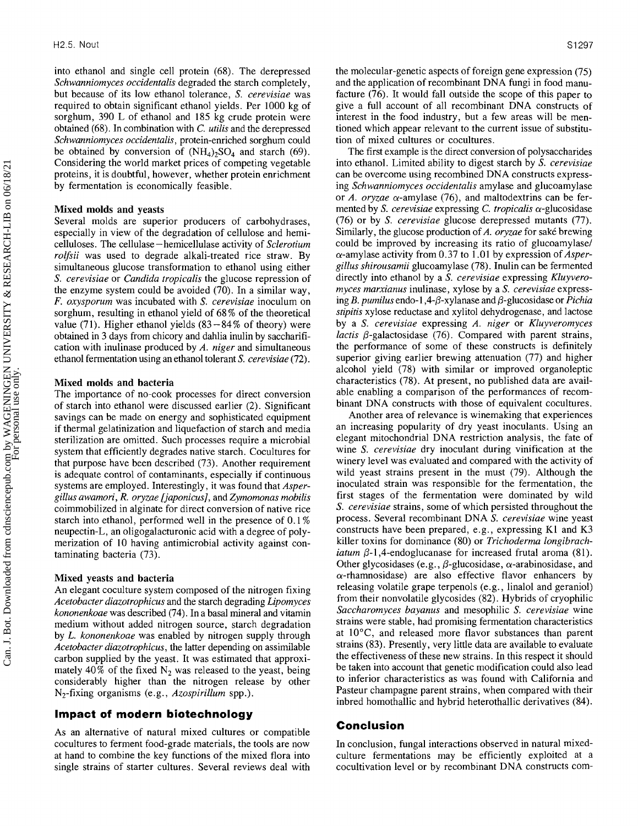into ethanol and single cell protein (68). The derepressed *Schwanniomyces occidentalis* degraded the starch completely, but because of its low ethanol tolerance, *S. cerevisiae* was required to obtain significant ethanol yields. Per 1000 kg of sorghum, 390 L of ethanol and 185 kg crude protein were obtained (68). In combination with *C. utilis* and the derepressed *Schwanniomyces occidentalis,* protein-enriched sorghum could be obtained by conversion of  $(NH<sub>4</sub>)<sub>2</sub>SO<sub>4</sub>$  and starch (69). Considering the world market prices of competing vegetable proteins, it is doubtful, however, whether protein enrichment by fermentation is economically feasible.

#### **Mixed molds and yeasts**

Several molds are superior producers of carbohydrases, especially in view of the degradation of cellulose and hemicelluloses. The cellulase - hemicellulase activity of *Sclerotium rolfsii* was used to degrade alkali-treated rice straw. By simultaneous glucose transformation to ethanol using either *S. cerevisiae* or *Candida tropicalis* the glucose repression of the enzyme system could be avoided (70). In a similar way, F. *oxysporum* was incubated with *S. cerevisiae* inoculum on sorghum, resulting in ethanol yield of 68 % of the theoretical value (71). Higher ethanol yields  $(83 - 84\% \text{ of theory})$  were obtained in 3 days from chicory and dahlia inulin by saccharification with inulinase produced by *A. niger* and simultaneous ethanol fermentation using an ethanol tolerant *S. cerevisiae* (72).

#### **Mixed molds and bacteria**

The importance of no-cook processes for direct conversion of starch into ethanol were discussed earlier (2). Significant savings can be made on energy and sophisticated equipment if thermal gelatinization and liquefaction of starch and media sterilization are omitted. Such processes require a microbial system that efficiently degrades native starch. Cocultures for that purpose have been described (73). Another requirement is adequate control of contaminants, especially if continuous systems are employed. Interestingly, it was found that *Aspergillus awamori, R. oryzae [japonicus],* and *Zymomonas mobilis*  coimmobilized in alginate for direct conversion of native rice starch into ethanol, performed well in the presence of 0.1 % neupectin-L, an oligogalacturonic acid with a degree of polymerization of 10 having antimicrobial activity against contaminating bacteria (73).

#### **Mixed yeasts and bacteria**

An elegant coculture system composed of the nitrogen fixing *Acetobacter diazotrophicus* and the starch degrading *Lipomyces kononenkoae* was described (74). In a basal mineral and vitamin medium without added nitrogen source, starch degradation by *L. kononenkoae* was enabled by nitrogen supply through *Acetobacter diazotrophicus,* the latter depending on assimilable carbon supplied by the yeast. It was estimated that approximately 40% of the fixed  $N_2$  was released to the yeast, being considerably higher than the nitrogen release by other N2-fixing organisms (e.g., *Azospirillum* spp.).

#### **Impact of modern biotechnology**

As an alternative of natural mixed cultures or compatible cocultures to ferment food-grade materials, the tools are now at hand to combine the key functions of the mixed flora into single strains of starter cultures. Several reviews deal with the molecular-genetic aspects of foreign gene expression (75) and the application of recombinant DNA fungi in food manufacture (76). It would fall outside the scope of this paper to give a full account of all recombinant DNA constructs of interest in the food industry, but a few areas will be mentioned which appear relevant to the current issue of substitution of mixed cultures or cocultures.

The first example is the direct conversion of polysaccharides into ethanol. Limited ability to digest starch by *S. cerevisiae*  can be overcome using recombined DNA constructs expressing *Schwanniomyces occidentalis* amylase and glucoamylase or *A. oryzae*  $\alpha$ -amylase (76), and maltodextrins can be fermented by *S. cerevisiae* expressing *C. tropicalis* a-glucosidase (76) or by *S. cerevisiae* glucose derepressed mutants (77). Similarly, the glucose production of *A. oryzae* for saké brewing could be improved by increasing its ratio of glucoamylase/ a-amylase activity from 0.37 to 1 .O1 by expression of *Aspergillus shirousamii* glucoamylase (78). Inulin can be fermented directly into ethanol by a *S. cerevisiae* expressing *Kluyveromyces marxianus* inulinase, xylose by a *S. cerevisiae* expressing *B. pumilus* endo-1,4- $\beta$ -xylanase and  $\beta$ -glucosidase or *Pichia stipitis* xylose reductase and xylitol dehydrogenase, and lactose by a *S. cerevisiae* expressing *A. niger* or *Kluyveromyces lactis*  $\beta$ *-galactosidase (76).* Compared with parent strains, the performance of some of these constructs is definitely superior giving earlier brewing attenuation (77) and higher alcohol yield (78) with similar or improved organoleptic characteristics (78). At present, no published data are available enabling a comparison of the performances of recombinant DNA constructs with those of equivalent cocultures.

Another area of relevance is winemaking that experiences an increasing popularity of dry yeast inoculants. Using an elegant mitochondria1 DNA restriction analysis, the fate of wine *S. cerevisiae* dry inoculant during vinification at the winery level was evaluated and compared with the activity of wild yeast strains present in the must (79). Although the inoculated strain was responsible for the fermentation, the first stages of the fermentation were dominated by wild *S. cerevisiae* strains, some of which persisted throughout the process. Several recombinant DNA *S. cerevisiae* wine yeast constructs have been prepared, e.g., expressing K1 and K3 killer toxins for dominance (80) or *Trichoderma longibrachiatum*  $\beta$ *-1,4-endoglucanase for increased frutal aroma (81).* Other glycosidases (e.g.,  $\beta$ -glucosidase,  $\alpha$ -arabinosidase, and  $\alpha$ -rhamnosidase) are also effective flavor enhancers by releasing volatile grape terpenols (e.g., linalol and geraniol) from their nonvolatile glycosides (82). Hybrids of cryophilic *Saccharomyces bayanus* and mesophilic *S. cerevisiae* wine strains were stable, had promising fermentation characteristics at 10°C, and released more flavor substances than parent strains (83). Presently, very little data are available to evaluate the effectiveness of these new strains. In this respect it should be taken into account that genetic modification could also lead to inferior characteristics as was found with California and Pasteur champagne parent strains, when compared with their inbred homothallic and hybrid heterothallic derivatives (84).

#### **Conclusion**

In conclusion, fungal interactions observed in natural mixedculture fermentations may be efficiently exploited at a cocultivation level or by recombinant DNA constructs com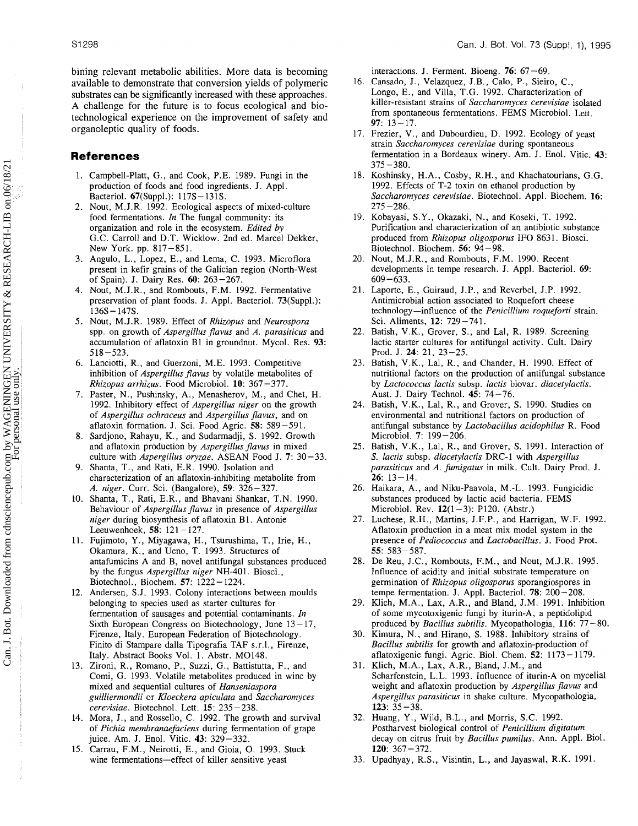bining relevant metabolic abilities. More data is becoming available to demonstrate that conversion yields of polymeric substrates can be significantly increased with these approaches. **A** challenge for the future is to focus ecological and biotechnological experience on the improvement of safety and organoleptic quality of foods.

#### **References**

- 1. Campbell-Platt, G., and Cook, P.E. 1989. Fungi in the production of foods and food ingredients. J. Appl. Bacteriol. 67(Suppl.): 117s-131s.
- 2. Nout, M.J.R. 1992. Ecological aspects of mixed-culture food fermentations. *In* The fungal community: its organization and role in the ecosystem. *Edited by*  G.C. Carroll and D.T. Wicklow. 2nd ed. Marcel Dekker, New York. pp. 817-851.
- 3. Angulo, L., Lopez, E., and Lema, C. 1993. Microflora present in kefir grains of the Galician region (North-West of Spain). J. Dairy Res. 60: 263-267.
- 4. Nout, M.J.R., and Rombouts, F.M. 1992. Fermentative preservation of plant foods. J. Appl. Bacteriol. 73(Suppl.):  $136S - 147S$
- 5. Nout, M.J.R. 1989. Effect of *Rhizopus* and *Neurospora*  spp. on growth of *Aspergillus flavus* and *A. parasiticus* and accumulation of aflatoxin B1 in groundnut. Mycol. Res. 93: 518-523.
- 6. Lanciotti, R., and Guerzoni, M.E. 1993. Competitive inhibition of *Aspergillus flavus* by volatile metabolites of *Rhizopus arrhizus.* Food Microbiol. 10: 367-377.
- 7. Paster, N., Pushinsky, A,, Menasherov, M., and Chet, H. 1992. Inhibitory effect of *Aspergillus niger* on the growth of *Aspergillus ochraceus* and *Aspergillus flavus,* and on aflatoxin formation. J. Sci. Food Agric. 58: 589-591.
- 8. Sardjono, Rahayu, K., and Sudarmadji, S. 1992. Growth and aflatoxin production by *Aspergillus flavus* in mixed culture with *Aspergillus oryzae.* ASEAN Food J. 7: 30-33.
- 9. Shanta, T., and Rati, E.R. 1990. Isolation and characterization of an aflatoxin-inhibiting metabolite from *A. niger.* Curr. Sci. (Bangalore), 59: 326-327.
- 10. Shanta, T., Rati, E.R., and Bhavani Shankar, T.N. 1990. Behaviour of *Aspergillus flavus* in presence of *Aspergillus niger* during biosynthesis of aflatoxin B1. Antonie Leeuwenhoek,  $58: 121 - 127$ .
- 11. Fujimoto, Y., Miyagawa, H., Tsurushima, T., Irie, H., Okamura, K., and Ueno, T. 1993. Structures of antafumicins A and B, novel antifungal substances produced by the fungus *Aspergillus niger* NH-401. Biosci., Biotechnol., Biochem. 57: 1222- 1224.
- 12. Andersen, S.J. 1993. Colony interactions between moulds belonging to species used as starter cultures for fermentation of sausages and potential contaminants. *In*  Sixth European Congress on Biotechnology, June  $13 - 17$ , Firenze, Italy. European Federation of Biotechnology. Finito di Stampare dalla Tipografia TAF s.r.l., Firenze, Italy. Abstract Books Vol. 1. Abstr. M0148.
- 13. Zironi, R., Romano, P., Suzzi, G., Battistutta, F., and Comi, G. 1993. Volatile metabolites produced in wine by mixed and sequential cultures of *Hanseniaspora guilliermondii* or *Kloeckera apiculata* and *Saccharomyces cerevisiae.* Biotechnol. Lett. 15: 235 -238.
- 14. Mora, J., and Rossello, C. 1992. The growth and survival of *Pichia membranaefaciens* during fermentation of grape juice. Am. J. Enol. Vitic. 43: 329-332.
- 15. Carrau, F.M., Neirotti, E., and Gioia, 0. 1993. Stuck wine fermentations-effect of killer sensitive yeast

interactions. J. Ferment. Bioeng.  $76: 67-69$ .

- 16. Cansado, J., Velazquez, J.B., Calo, P., Sieiro, C., Longo, E., and Villa, T.G. 1992. Characterization of killer-resistant strains of *Saccharomyces cerevisiae* isolated from spontaneous fermentations. FEMS Microbiol. Lett. 97:  $13 - 17$ .
- 17. Frezier, V., and Dubourdieu, D. 1992. Ecology of yeast strain *Saccharomyces cerevisiae* during spontaneous fermentation in a Bordeaux winery. Am. J. Enol. Vitic. 43:  $375 - 380.$
- 18. Koshinsky, H.A., Cosby, R.H., and Khachatourians, G.G. 1992. Effects of T-2 toxin on ethanol production by *Saccharomyces cerevisiae.* Biotechnol. Appl. Biochem. 16:  $275 - 286$ .
- 19. Kobayasi, S.Y., Okazaki, N., and Koseki, T. 1992. Purification and characterization of an antibiotic substance produced from *Rhizopus oligosporus* IF0 8631. Biosci. Biotechnol. Biochem. 56: 94-98.
- 20. Nout, M.J.R., and Rombouts, F.M. 1990. Recent developments in tempe research. J. Appl. Bacteriol. 69:  $609 - 633.$
- 21. Laporte, E., Guiraud, J.P., and Reverbel, J.P. 1992. Antimicrobial action associated to Roquefort cheese technology-influence of the *Penicillium roqueforti* strain. Sci. Aliments, 12: 729–741.
- 22. Batish, V.K., Grover, S., and Lal, R. 1989. Screening lactic starter cultures for antifungal activity. Cult. Dairy Prod. J. 24: 21, 23-25.
- 23. Batish, V.K., Lal, R., and Chander, H. 1990. Effect of nutritional factors on the production of antifungal substance by *Luctococcus lactis* subsp. *lactis* biovar. *diacetylactis.*  Aust. J. Dairy Technol. 45: 74-76.
- 24. Batish, V.K., Lal, R., and Grover, S. 1990. Studies on environmental and nutritional factors on production of antifungal substance by *Luctobacillus acidophilus* R. Food Microbiol. 7: 199-206.
- Batish, V.K., Lal, R., and Grover, S. 1991. Interaction of *S. lactis* subsp. *diacetylactis* DRC-1 with *Aspergillus parasiticus* and *A. jiimigatus* in milk. Cult. Dairy Prod. J.  $26: 13-14.$
- 26. Haikara, A., and Niku-Paavola, M.-L. 1993. Fungicidic substances produced by lactic acid bacteria. FEMS Microbiol. Rev.  $12(1-3)$ : P120. (Abstr.)
- 27. Luchese, R.H., Martins, J.F.P., and Harrigan, W.F. 1992. Aflatoxin production in a meat mix model system in the presence of *Pediococcus* and *Luctobacillus. J.* Food Prot. 55: 583-587.
- 28. De Reu, J.C., Rombouts, F.M., and Nout, M.J.R. 1995. Influence of acidity and initial substrate temperature on germination of *Rhizopus oligosporus* sporangiospores in tempe fermentation. J. Appl. Bacteriol. 78: 200-208.
- 29. Klich, M.A., Lax, A.R., and Bland, J.M. 1991. Inhibition of some mycotoxigenic fungi by iturin-A, a peptidolipid produced by *Bacillus subtilis.* Mycopathologia, 116: 77-80.
- 30. Kimura, N., and Hirano, S. 1988. Inhibitory strains of *Bacillus subtilis* for growth and aflatoxin-production of aflatoxigenic fungi. Agric. Biol. Chem.  $52: 1173 - 1179$ .
- 31. Klich, M.A., Lax, A.R., Bland, J.M., and Scharfenstein, L.L. 1993. Influence of iturin-A on mycelial weight and aflatoxin production by *Aspergillus flavus* and *Aspergillus parasiticus* in shake culture. Mycopathologia, 123: 35-38.
- 32. Huang, Y., Wild, B.L., and Morris, S.C. 1992. Postharvest biological control of *Penicillium digitatum*  decay on citrus fruit by *Bacillus pumilus.* Ann. Appl. Biol. 120:  $367 - 372$
- 33. Upadhyay, R.S., Visintin, L., and Jayaswal, R.K. 1991.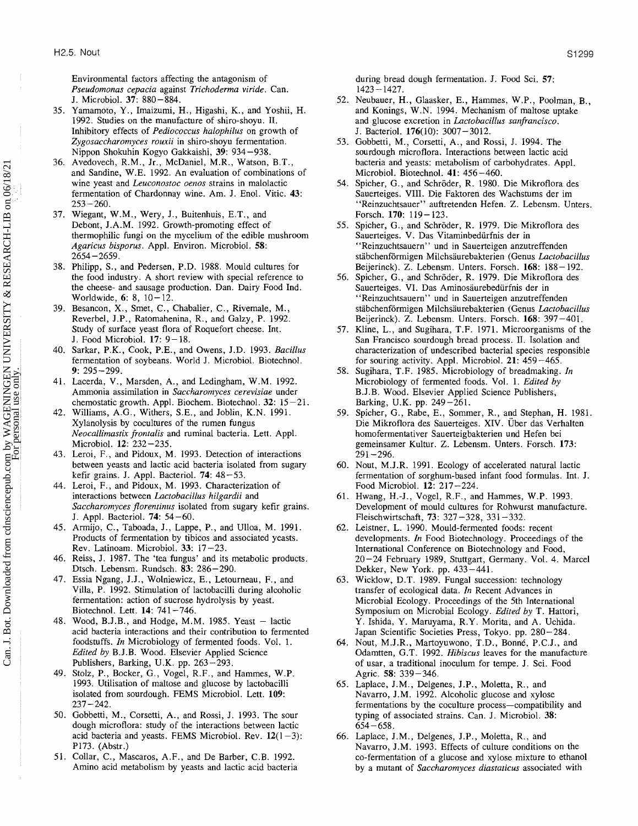Environmental factors affecting the antagonism of *Pseudornonas cepacia* against *Trichoderma viride.* Can. J. Microbiol. 37: 880-884.

- 35. Yamamoto, Y., Imaizumi, H., Higashi, K., and Yoshii, H. 1992. Studies on the manufacture of shiro-shoyu. 11. Inhibitory effects of *Pediococcus halophilus* on growth of *Zygosaccharomyces rouxii* in shiro-shoyu fermentation. Nippon Shokuhin Kogyo Gakkaishi, 39: 934-938.
- 36. Avedovech, R.M., Jr., McDaniel, M.R., Watson, B.T., and Sandine, W.E. 1992. An evaluation of combinations of wine yeast and *Leuconostoc oenos* strains in malolactic fermentation of Chardonnay wine. Am. J. Enol. Vitic. 43:  $253 - 260.$
- 37. Wiegant, W.M., Wery, J., Buitenhuis, E.T., and Debont, J.A.M. 1992. Growth-promoting effect of thermophilic fungi on the mycelium of the edible mushroom *Agaricus bisporus.* Appl. Environ. Microbiol. 58:  $2654 - 2659$ .
- 38. Philipp, S., and Pedersen, P.D. 1988. Mould cultures for the food industry. A short review with special reference to the cheese- and sausage production. Dan. Dairy Food Ind. Worldwide,  $6: 8, 10-12$ .
- 39. Besancon, X., Smet, C., Chabalier, C., Rivemale, M., Reverbel, J.P., Ratomahenina, R., and Galzy, P. 1992. Study of surface yeast flora of Roquefort cheese. Int. J. Food Microbiol. 17: 9- 18.
- 40. Sarkar, P.K., Cook, P.E., and Owens, J.D. 1993. *Bacillus*  fermentation of soybeans. World J. Microbiol. Biotechnol. 9: 295-299.
- 41. Lacerda, V., Marsden, A., and Ledingham, W.M. 1992. Ammonia assimilation in *Saccharornyces cerevisiae* under chemostatic growth. Appl. Biochem. Biotechnol.  $32: 15-21$ .
- 42. Williams, A.G., Withers, S.E., and Joblin, K.N. 1991. Xylanolysis by cocultures of the rumen fungus *Neocallimastir frontalis* and ruminal bacteria. Lett. Appl. Microbiol. **12**: 232-235.
- 43. Leroi, F., and Pidoux, M. 1993. Detection of interactions between yeasts and lactic acid bacteria isolated from sugary kefir grains. J. Appl. Bacteriol. 74: 48-53.
- 44. Leroi, F., and Pidoux, M. 1993. Characterization of interactions between *Lactobacillus hilgardii* and *Saccharornyces florentinus* isolated from sugary kefir grains. J. Appl. Bacteriol. 74: 54-60.
- 45. Armijo, C., Taboada, J., Lappe, P., and Ulloa, M. 1991. Products of fermentation by tibicos and associated yeasts. Rev. Latinoam. Microbiol. 33: 17-23.
- 46. Reiss, J. 1987. The 'tea fungus' and its metabolic products. Dtsch. Lebensm. Rundsch. 83: 286-290.
- 47. Essia Ngang, J.J., Wolniewicz, E., Letourneau, F., and Villa, P. 1992. Stimulation of lactobacilli during alcoholic fermentation: action of sucrose hydrolysis by yeast. Biotechnol. Lett. 14: 741 -746.
- 48. Wood, B.J.B., and Hodge, M.M. 1985. Yeast  $-$  lactic acid bacteria interactions and their contribution to fermented foodstuffs. *In* Microbiology of fermented foods. Vol. 1. *Edited by* B.J.B. Wood. Elsevier Applied Science Publishers, Barking, U.K. pp. 263-293.
- 49. Stolz, P., Bocker, G., Vogel, R.F., and Hammes, W.P. 1993. Utilisation of maltose and glucose by lactobacilli isolated from sourdough. FEMS Microbiol. Lett. 109:  $237 - 242$ .
- 50. Gobbetti, M., Corsetti, A., and Rossi, J. 1993. The sour dough microflora: study of the interactions between lactic acid bacteria and yeasts. FEMS Microbiol. Rev.  $12(1-3)$ : P173. (Abstr.)
- 51. Collar, C., Mascaros, A.F., and De Barber, C.B. 1992. Amino acid metabolism by yeasts and lactic acid bacteria

during bread dough fermentation. J. Food Sci. 57: 1423- 1427.

- 52. Neubauer, H., Glaasker, E., Hammes, W.P., Poolman, B., and Konings, W.N. 1994. Mechanism of maltose uptake and glucose excretion in *Lactobacillus sanfrancisco.*  J. Bacteriol. 176(10): 3007-3012.
- 53. Gobbetti, M., Corsetti, A., and Rossi, J. 1994. The sourdough microflora. Interactions between lactic acid bacteria and yeasts: metabolism of carbohydrates. Appl. Microbiol. Biotechnol. 41: 456-460.
- 54. Spicher, G., and Schroder, R. 1980. Die Mikroflora des Sauerteiges. VIII. Die Faktoren des Wachstums der im "Reinzuchtsauer" auftretenden Hefen. Z. Lebensm. Unters. Forsch. 170: 119- 123.
- 55. Spicher, G., and Schroder, R. 1979. Die Mikroflora des Sauerteiges. V. Das Vitaminbedürfnis der in "Reinzuchtsauern" und in Sauerteigen anzutreffenden stiibchenformigen Milchsaurebakterien (Genus *Lactobacillus*  Beijerinck). Z. Lebensm. Unters. Forsch. 168: 188-192.
- 56. Spicher, G., and Schroder, R. 1979. Die Mikroflora des Sauerteiges. VI. Das Aminosäurebedürfnis der in "Reinzuchtsauern" und in Sauerteigen anzutreffenden stabchenformigen Milchsaurebakterien (Genus *Lactobacillus*  Beijerinck). Z. Lebensm. Unters. Forsch. 168: 397-401.
- 57. Kline, L., and Sugihara, T.F. 1971. Microorganisms of the San Francisco sourdough bread process. 11. Isolation and characterization of undescribed bacterial species responsible for souring activity. Appl. Microbiol. 21: 459-465.
- 58. Sugihara, T.F. 1985. Microbiology of breadmaking. *In*  Microbiology of fermented foods. Vol. 1. *Edited by*  B.J.B. Wood. Elsevier Applied Science Publishers, Barking, U.K. pp. 249-261.
- 59. Spicher, G., Rabe, E., Sommer, R., and Stephan, H. 1981. Die Mikroflora des Sauerteiges. XIV. Über das Verhalten homofermentativer Sauerteigbakterien und Hefen bei gemeinsarner Kultur. Z. Lebensm. Unters. Forsch. 173:  $291 - 296$ .
- 60. Nout, M.J.R. 1991. Ecology of accelerated natural lactic fermentation of sorghum-based infant food formulas. Int. J. Food Microbiol. 12: 217-224.
- 61. Hwang, H.-J., Vogel, R.F., and Hammes, W.P. 1993. Development of mould cultures for Rohwurst manufacture. Fleischwirtschaft, 73: 327-328, 331 -332.
- 62. Leistner, L. 1990. Mould-fermented foods: recent developments. *In* Food Biotechnology. Proceedings of the International Conference on Biotechnology and Food, 20-24 February 1989, Stuttgart, Germany. Vol. 4. Marcel Dekker, New York. pp. 433-441.
- 63. Wicklow, D.T. 1989. Fungal succession: technology transfer of ecological data. *In* Recent Advances in Microbial Ecology. Proceedings of the 5th International Symposium on Microbial Ecology. *Edited by* T. Hattori, Y. Ishida, Y. Maruyama, R.Y. Morita, and A. Uchida. Japan Scientific Societies Press, Tokyo. pp. 280-284.
- 64. Nout, M.J.R., Martoyuwono, T.D., Bonné, P.C.J., and Odamtten, G.T. 1992. *Hibiscus* leaves for the manufacture of usar, a traditional inoculum for tempe. J. Sci. Food Agric. 58: 339-346.
- 65. Laplace, J.M., Delgenes, J.P., Moletta, R., and Navarro, J.M. 1992. Alcoholic glucose and xylose fermentations by the coculture process-compatibility and typing of associated strains. Can. J. Microbiol. 38:  $654 - 658$ .
- 66. Laplace, J.M., Delgenes, J.P., Moletta, R., and Navarro, J.M. 1993. Effects of culture conditions on the co-fermentation of a glucose and xylose mixture to ethanol by a mutant of *Saccharomyces diastaticus* associated with